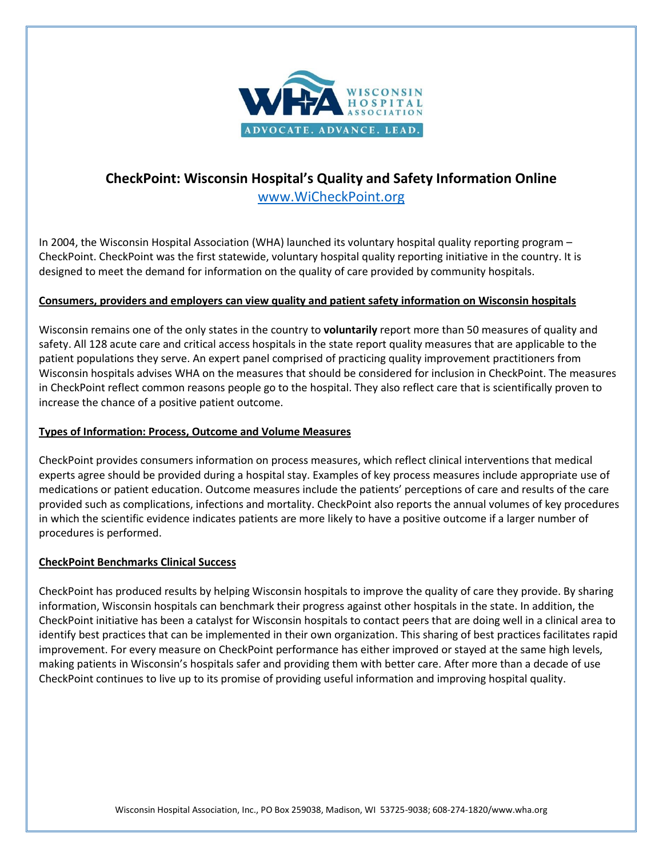

## **CheckPoint: Wisconsin Hospital's Quality and Safety Information Online**

[www.WiCheckPoint.org](http://www.wicheckpoint.org/)

In 2004, the Wisconsin Hospital Association (WHA) launched its voluntary hospital quality reporting program – CheckPoint. CheckPoint was the first statewide, voluntary hospital quality reporting initiative in the country. It is designed to meet the demand for information on the quality of care provided by community hospitals.

## **Consumers, providers and employers can view quality and patient safety information on Wisconsin hospitals**

Wisconsin remains one of the only states in the country to **voluntarily** report more than 50 measures of quality and safety. All 128 acute care and critical access hospitals in the state report quality measures that are applicable to the patient populations they serve. An expert panel comprised of practicing quality improvement practitioners from Wisconsin hospitals advises WHA on the measures that should be considered for inclusion in CheckPoint. The measures in CheckPoint reflect common reasons people go to the hospital. They also reflect care that is scientifically proven to increase the chance of a positive patient outcome.

## **Types of Information: Process, Outcome and Volume Measures**

CheckPoint provides consumers information on process measures, which reflect clinical interventions that medical experts agree should be provided during a hospital stay. Examples of key process measures include appropriate use of medications or patient education. Outcome measures include the patients' perceptions of care and results of the care provided such as complications, infections and mortality. CheckPoint also reports the annual volumes of key procedures in which the scientific evidence indicates patients are more likely to have a positive outcome if a larger number of procedures is performed.

### **CheckPoint Benchmarks Clinical Success**

CheckPoint has produced results by helping Wisconsin hospitals to improve the quality of care they provide. By sharing information, Wisconsin hospitals can benchmark their progress against other hospitals in the state. In addition, the CheckPoint initiative has been a catalyst for Wisconsin hospitals to contact peers that are doing well in a clinical area to identify best practices that can be implemented in their own organization. This sharing of best practices facilitates rapid improvement. For every measure on CheckPoint performance has either improved or stayed at the same high levels, making patients in Wisconsin's hospitals safer and providing them with better care. After more than a decade of use CheckPoint continues to live up to its promise of providing useful information and improving hospital quality.